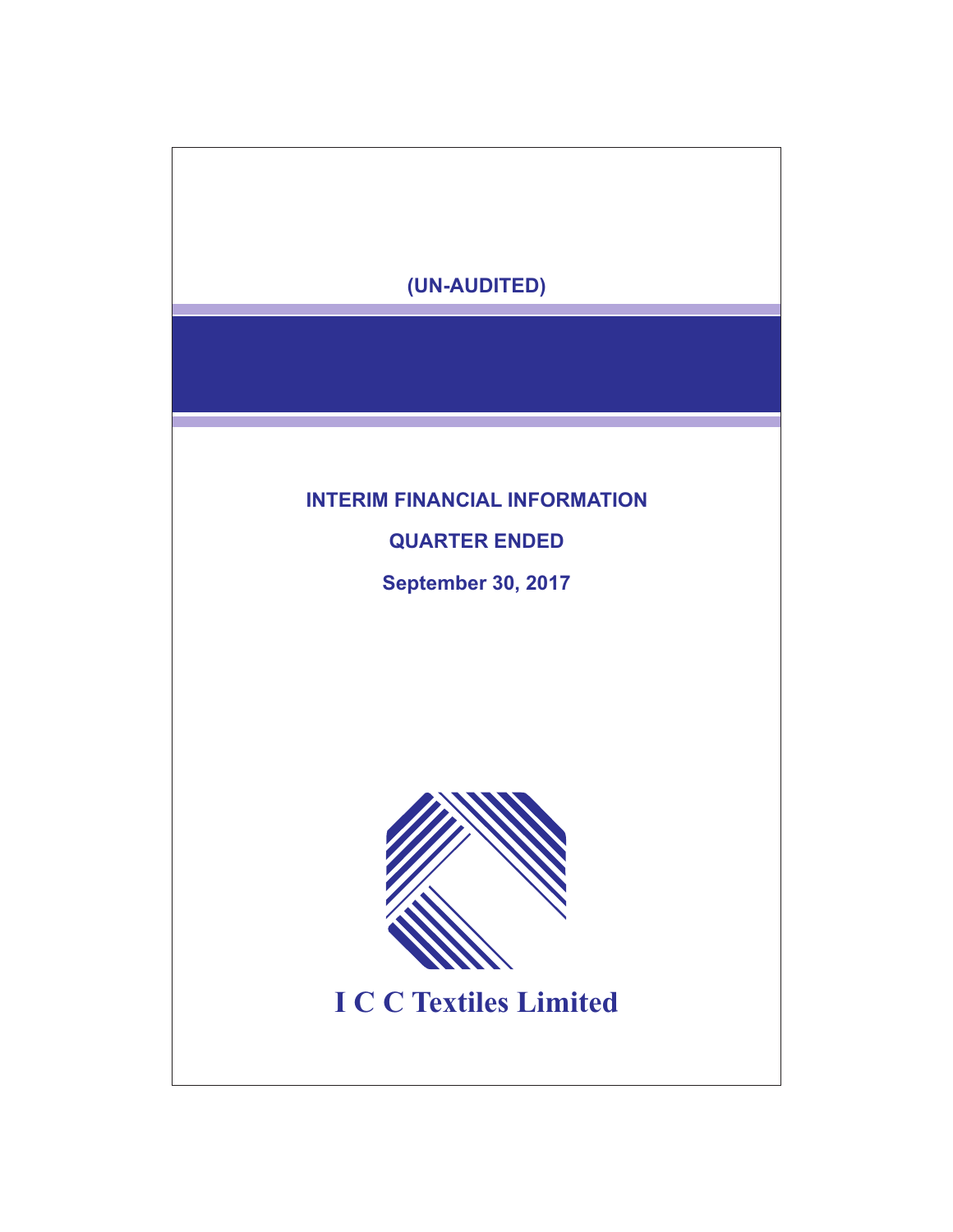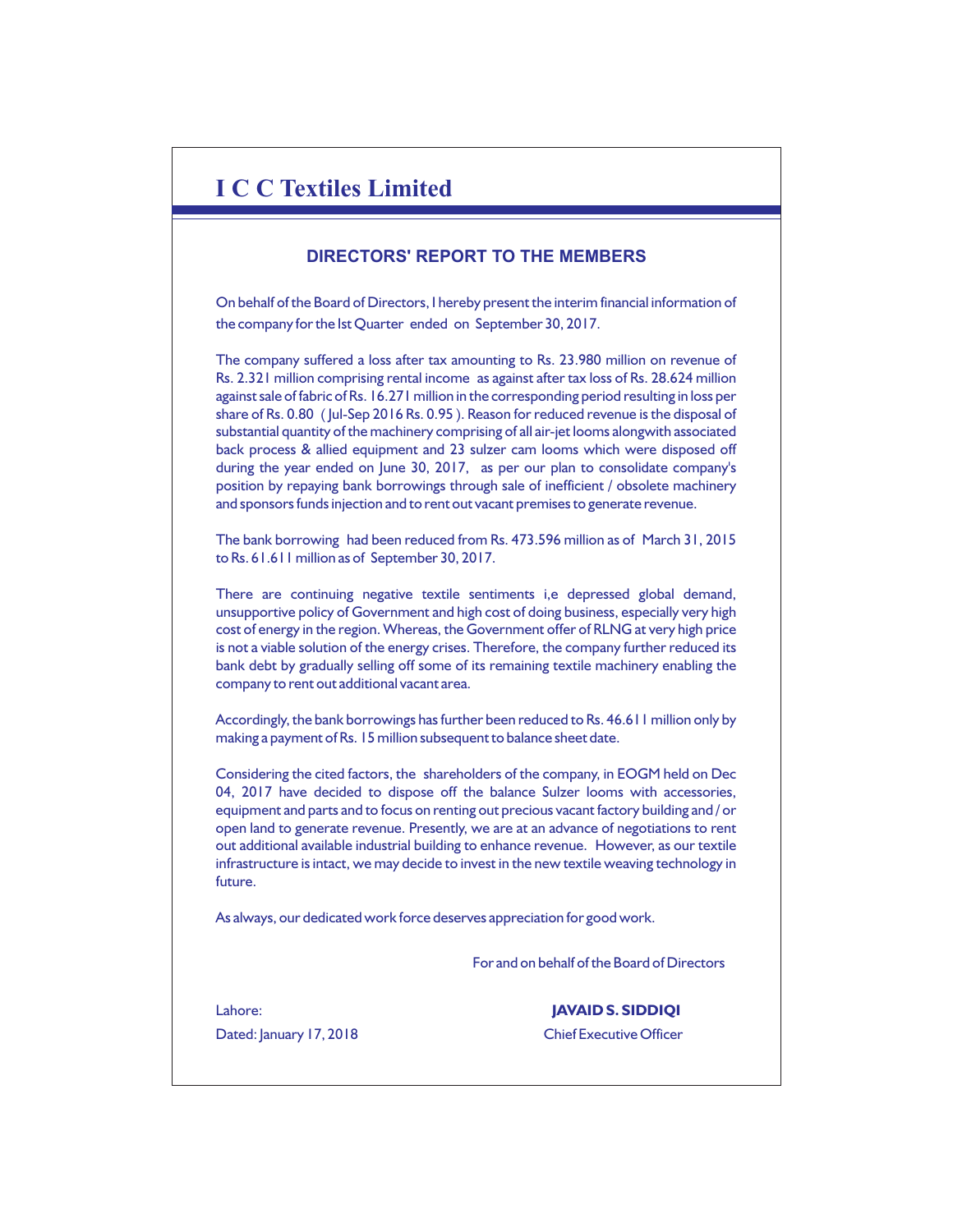# **I C C Textiles Limited**

## **DIRECTORS' REPORT TO THE MEMBERS**

On behalf of the Board of Directors, I hereby present the interim financial information of the company for the Ist Quarter ended on September 30, 2017.

The company suffered a loss after tax amounting to Rs. 23.980 million on revenue of Rs. 2.321 million comprising rental income as against after tax loss of Rs. 28.624 million against sale of fabric of Rs. 16.271 million in the corresponding period resulting in loss per share of Rs. 0.80 ( Jul-Sep 2016 Rs. 0.95 ). Reason for reduced revenue is the disposal of substantial quantity of the machinery comprising of all air-jet looms alongwith associated back process & allied equipment and 23 sulzer cam looms which were disposed off during the year ended on June 30, 2017, as per our plan to consolidate company's position by repaying bank borrowings through sale of inefficient / obsolete machinery and sponsors funds injection and to rent out vacant premises to generate revenue.

The bank borrowing had been reduced from Rs. 473.596 million as of March 31, 2015 to Rs. 61.611 million as of September 30, 2017.

There are continuing negative textile sentiments i,e depressed global demand, unsupportive policy of Government and high cost of doing business, especially very high cost of energy in the region. Whereas, the Government offer of RLNG at very high price is not a viable solution of the energy crises. Therefore, the company further reduced its bank debt by gradually selling off some of its remaining textile machinery enabling the company to rent out additional vacant area.

Accordingly, the bank borrowings has further been reduced to Rs. 46.611 million only by making a payment of Rs. 15 million subsequent to balance sheet date.

Considering the cited factors, the shareholders of the company, in EOGM held on Dec 04, 2017 have decided to dispose off the balance Sulzer looms with accessories, equipment and parts and to focus on renting out precious vacant factory building and / or open land to generate revenue. Presently, we are at an advance of negotiations to rent out additional available industrial building to enhance revenue. However, as our textile infrastructure is intact, we may decide to invest in the new textile weaving technology in future.

As always, our dedicated work force deserves appreciation for good work.

For and on behalf of the Board of Directors

Lahore: **JAVAID S. SIDDIQI**

Dated: January 17, 2018 Chief Executive Officer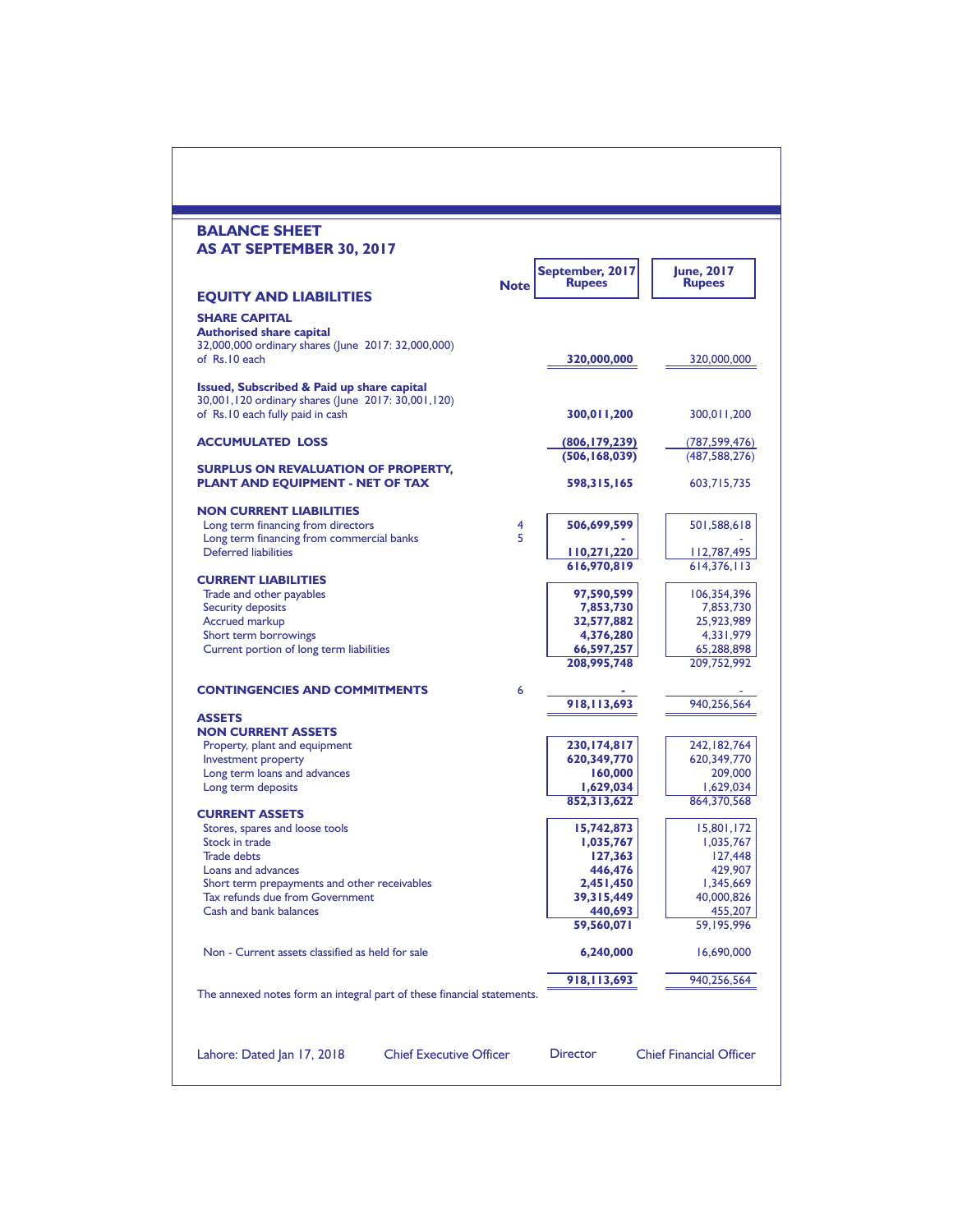| <b>BALANCE SHEET</b><br>AS AT SEPTEMBER 30, 2017<br><b>Note</b><br><b>EQUITY AND LIABILITIES</b><br><b>SHARE CAPITAL</b><br><b>Authorised share capital</b><br>32,000,000 ordinary shares (June 2017: 32,000,000)<br>of Rs.10 each<br><b>Issued, Subscribed &amp; Paid up share capital</b><br>30,001,120 ordinary shares (June 2017: 30,001,120)<br>of Rs.10 each fully paid in cash<br><b>ACCUMULATED LOSS</b><br><b>SURPLUS ON REVALUATION OF PROPERTY,</b><br>PLANT AND EQUIPMENT - NET OF TAX<br><b>NON CURRENT LIABILITIES</b><br>Long term financing from directors<br>4<br>5<br>Long term financing from commercial banks<br><b>Deferred liabilities</b><br><b>CURRENT LIABILITIES</b><br>Trade and other payables<br><b>Security deposits</b><br>Accrued markup<br>Short term borrowings<br>Current portion of long term liabilities<br><b>CONTINGENCIES AND COMMITMENTS</b><br>6 | September, 2017<br><b>Rupees</b><br>320,000,000<br>300,011,200<br>(806, 179, 239)<br>(506, 168, 039)<br>598,315,165<br>506.699.599<br>110,271,220<br>616,970,819<br>97,590,599<br>7,853,730<br>32,577,882<br>4,376,280<br>66,597,257<br>208,995,748 | <b>June, 2017</b><br><b>Rupees</b><br>320,000,000<br>300,011,200<br>(787, 599, 476)<br>(487, 588, 276)<br>603,715,735<br>501,588,618<br>112,787,495<br>614, 376, 113<br>106,354,396<br>7,853,730<br>25,923,989<br>4,331,979<br>65,288,898<br>209,752,992 |
|--------------------------------------------------------------------------------------------------------------------------------------------------------------------------------------------------------------------------------------------------------------------------------------------------------------------------------------------------------------------------------------------------------------------------------------------------------------------------------------------------------------------------------------------------------------------------------------------------------------------------------------------------------------------------------------------------------------------------------------------------------------------------------------------------------------------------------------------------------------------------------------------|-----------------------------------------------------------------------------------------------------------------------------------------------------------------------------------------------------------------------------------------------------|----------------------------------------------------------------------------------------------------------------------------------------------------------------------------------------------------------------------------------------------------------|
|                                                                                                                                                                                                                                                                                                                                                                                                                                                                                                                                                                                                                                                                                                                                                                                                                                                                                            |                                                                                                                                                                                                                                                     |                                                                                                                                                                                                                                                          |
|                                                                                                                                                                                                                                                                                                                                                                                                                                                                                                                                                                                                                                                                                                                                                                                                                                                                                            |                                                                                                                                                                                                                                                     |                                                                                                                                                                                                                                                          |
|                                                                                                                                                                                                                                                                                                                                                                                                                                                                                                                                                                                                                                                                                                                                                                                                                                                                                            |                                                                                                                                                                                                                                                     |                                                                                                                                                                                                                                                          |
|                                                                                                                                                                                                                                                                                                                                                                                                                                                                                                                                                                                                                                                                                                                                                                                                                                                                                            |                                                                                                                                                                                                                                                     |                                                                                                                                                                                                                                                          |
|                                                                                                                                                                                                                                                                                                                                                                                                                                                                                                                                                                                                                                                                                                                                                                                                                                                                                            |                                                                                                                                                                                                                                                     |                                                                                                                                                                                                                                                          |
|                                                                                                                                                                                                                                                                                                                                                                                                                                                                                                                                                                                                                                                                                                                                                                                                                                                                                            |                                                                                                                                                                                                                                                     |                                                                                                                                                                                                                                                          |
|                                                                                                                                                                                                                                                                                                                                                                                                                                                                                                                                                                                                                                                                                                                                                                                                                                                                                            |                                                                                                                                                                                                                                                     |                                                                                                                                                                                                                                                          |
|                                                                                                                                                                                                                                                                                                                                                                                                                                                                                                                                                                                                                                                                                                                                                                                                                                                                                            |                                                                                                                                                                                                                                                     |                                                                                                                                                                                                                                                          |
|                                                                                                                                                                                                                                                                                                                                                                                                                                                                                                                                                                                                                                                                                                                                                                                                                                                                                            |                                                                                                                                                                                                                                                     |                                                                                                                                                                                                                                                          |
|                                                                                                                                                                                                                                                                                                                                                                                                                                                                                                                                                                                                                                                                                                                                                                                                                                                                                            |                                                                                                                                                                                                                                                     |                                                                                                                                                                                                                                                          |
|                                                                                                                                                                                                                                                                                                                                                                                                                                                                                                                                                                                                                                                                                                                                                                                                                                                                                            |                                                                                                                                                                                                                                                     |                                                                                                                                                                                                                                                          |
|                                                                                                                                                                                                                                                                                                                                                                                                                                                                                                                                                                                                                                                                                                                                                                                                                                                                                            |                                                                                                                                                                                                                                                     |                                                                                                                                                                                                                                                          |
|                                                                                                                                                                                                                                                                                                                                                                                                                                                                                                                                                                                                                                                                                                                                                                                                                                                                                            |                                                                                                                                                                                                                                                     |                                                                                                                                                                                                                                                          |
|                                                                                                                                                                                                                                                                                                                                                                                                                                                                                                                                                                                                                                                                                                                                                                                                                                                                                            |                                                                                                                                                                                                                                                     |                                                                                                                                                                                                                                                          |
|                                                                                                                                                                                                                                                                                                                                                                                                                                                                                                                                                                                                                                                                                                                                                                                                                                                                                            |                                                                                                                                                                                                                                                     |                                                                                                                                                                                                                                                          |
|                                                                                                                                                                                                                                                                                                                                                                                                                                                                                                                                                                                                                                                                                                                                                                                                                                                                                            |                                                                                                                                                                                                                                                     |                                                                                                                                                                                                                                                          |
|                                                                                                                                                                                                                                                                                                                                                                                                                                                                                                                                                                                                                                                                                                                                                                                                                                                                                            |                                                                                                                                                                                                                                                     |                                                                                                                                                                                                                                                          |
|                                                                                                                                                                                                                                                                                                                                                                                                                                                                                                                                                                                                                                                                                                                                                                                                                                                                                            | 918,113,693                                                                                                                                                                                                                                         | 940,256,564                                                                                                                                                                                                                                              |
| <b>ASSETS</b>                                                                                                                                                                                                                                                                                                                                                                                                                                                                                                                                                                                                                                                                                                                                                                                                                                                                              |                                                                                                                                                                                                                                                     |                                                                                                                                                                                                                                                          |
| <b>NON CURRENT ASSETS</b>                                                                                                                                                                                                                                                                                                                                                                                                                                                                                                                                                                                                                                                                                                                                                                                                                                                                  |                                                                                                                                                                                                                                                     |                                                                                                                                                                                                                                                          |
| Property, plant and equipment<br>Investment property                                                                                                                                                                                                                                                                                                                                                                                                                                                                                                                                                                                                                                                                                                                                                                                                                                       | 230, 174, 817<br>620,349,770                                                                                                                                                                                                                        | 242, 182, 764<br>620,349,770                                                                                                                                                                                                                             |
| Long term loans and advances                                                                                                                                                                                                                                                                                                                                                                                                                                                                                                                                                                                                                                                                                                                                                                                                                                                               | 160,000                                                                                                                                                                                                                                             | 209,000                                                                                                                                                                                                                                                  |
| Long term deposits                                                                                                                                                                                                                                                                                                                                                                                                                                                                                                                                                                                                                                                                                                                                                                                                                                                                         | 1,629,034                                                                                                                                                                                                                                           | 1,629,034                                                                                                                                                                                                                                                |
|                                                                                                                                                                                                                                                                                                                                                                                                                                                                                                                                                                                                                                                                                                                                                                                                                                                                                            | 852,313,622                                                                                                                                                                                                                                         | 864,370,568                                                                                                                                                                                                                                              |
| <b>CURRENT ASSETS</b><br>Stores, spares and loose tools                                                                                                                                                                                                                                                                                                                                                                                                                                                                                                                                                                                                                                                                                                                                                                                                                                    | 15,742,873                                                                                                                                                                                                                                          | 15,801,172                                                                                                                                                                                                                                               |
| Stock in trade                                                                                                                                                                                                                                                                                                                                                                                                                                                                                                                                                                                                                                                                                                                                                                                                                                                                             | 1,035,767                                                                                                                                                                                                                                           | 1,035,767                                                                                                                                                                                                                                                |
| <b>Trade debts</b>                                                                                                                                                                                                                                                                                                                                                                                                                                                                                                                                                                                                                                                                                                                                                                                                                                                                         | 127,363                                                                                                                                                                                                                                             | 127,448                                                                                                                                                                                                                                                  |
| Loans and advances                                                                                                                                                                                                                                                                                                                                                                                                                                                                                                                                                                                                                                                                                                                                                                                                                                                                         | 446,476                                                                                                                                                                                                                                             | 429,907                                                                                                                                                                                                                                                  |
| Short term prepayments and other receivables                                                                                                                                                                                                                                                                                                                                                                                                                                                                                                                                                                                                                                                                                                                                                                                                                                               | 2,451,450                                                                                                                                                                                                                                           | 1,345,669                                                                                                                                                                                                                                                |
| Tax refunds due from Government                                                                                                                                                                                                                                                                                                                                                                                                                                                                                                                                                                                                                                                                                                                                                                                                                                                            | 39,315,449                                                                                                                                                                                                                                          | 40,000,826                                                                                                                                                                                                                                               |
| Cash and bank balances                                                                                                                                                                                                                                                                                                                                                                                                                                                                                                                                                                                                                                                                                                                                                                                                                                                                     | 440,693<br>59,560,071                                                                                                                                                                                                                               | 455,207<br>59, 195, 996                                                                                                                                                                                                                                  |
|                                                                                                                                                                                                                                                                                                                                                                                                                                                                                                                                                                                                                                                                                                                                                                                                                                                                                            |                                                                                                                                                                                                                                                     |                                                                                                                                                                                                                                                          |
| Non - Current assets classified as held for sale                                                                                                                                                                                                                                                                                                                                                                                                                                                                                                                                                                                                                                                                                                                                                                                                                                           | 6,240,000                                                                                                                                                                                                                                           | 16,690,000                                                                                                                                                                                                                                               |
| The annexed notes form an integral part of these financial statements.                                                                                                                                                                                                                                                                                                                                                                                                                                                                                                                                                                                                                                                                                                                                                                                                                     | 918,113,693                                                                                                                                                                                                                                         | 940,256,564                                                                                                                                                                                                                                              |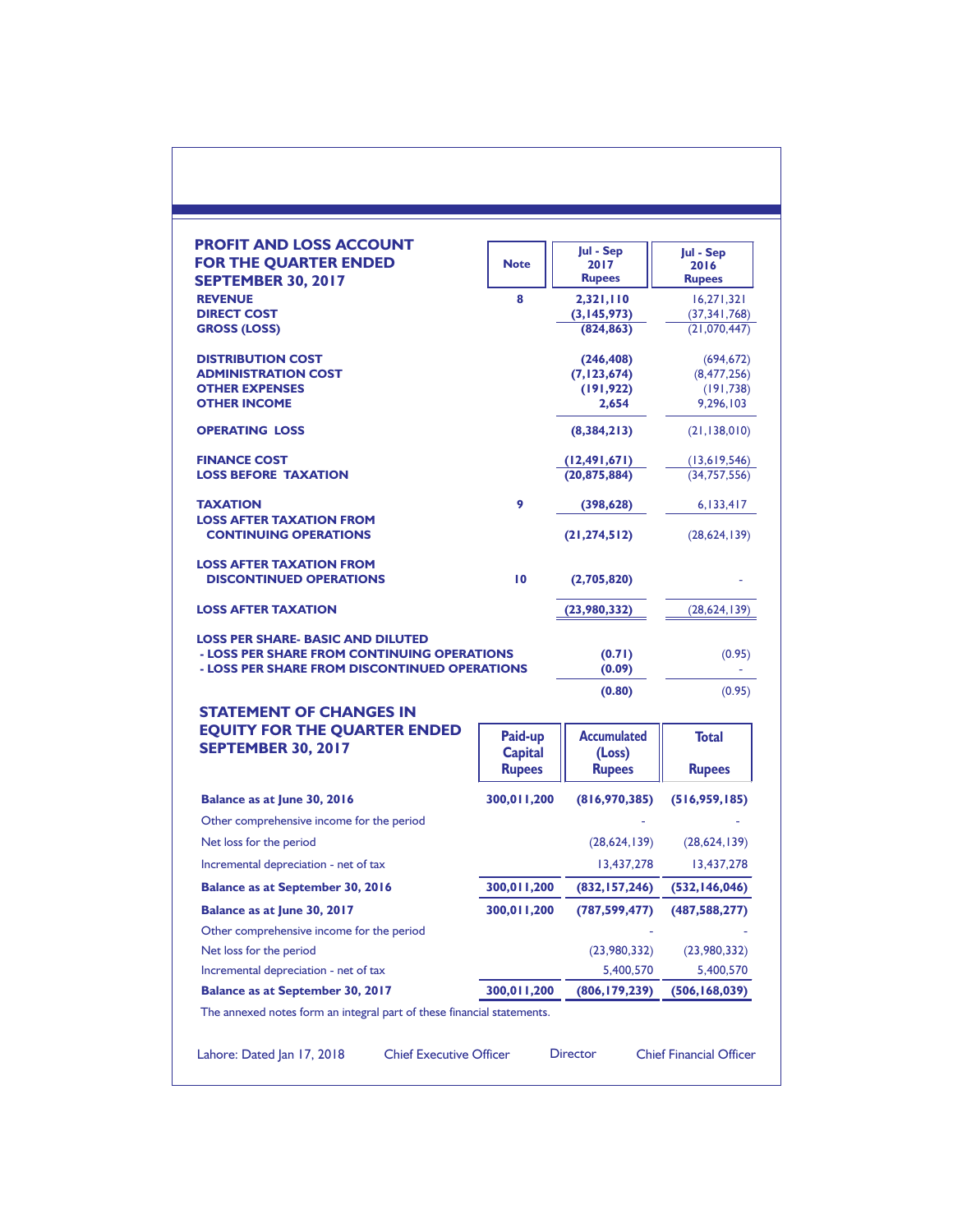| <b>SEPTEMBER 30, 2017</b><br>8<br><b>REVENUE</b><br>2,321,110<br><b>DIRECT COST</b><br>(3, 145, 973)<br><b>GROSS (LOSS)</b><br>(824, 863)<br><b>DISTRIBUTION COST</b><br>(246, 408)<br><b>ADMINISTRATION COST</b><br>(7, 123, 674)<br><b>OTHER EXPENSES</b><br>(191, 922)<br><b>OTHER INCOME</b><br>2,654<br><b>OPERATING LOSS</b><br>(8,384,213)<br><b>FINANCE COST</b><br>(12, 491, 671)<br>(20, 875, 884)<br><b>LOSS BEFORE TAXATION</b><br>9<br><b>TAXATION</b><br>(398, 628)<br><b>LOSS AFTER TAXATION FROM</b><br><b>CONTINUING OPERATIONS</b><br>(21, 274, 512)<br><b>LOSS AFTER TAXATION FROM</b><br><b>DISCONTINUED OPERATIONS</b><br>$\overline{10}$<br>(2,705,820)<br><b>LOSS AFTER TAXATION</b><br>(23,980,332)<br><b>LOSS PER SHARE- BASIC AND DILUTED</b><br>- LOSS PER SHARE FROM CONTINUING OPERATIONS<br>(0.71)<br>- LOSS PER SHARE FROM DISCONTINUED OPERATIONS<br>(0.09)<br>(0.80)<br><b>STATEMENT OF CHANGES IN</b><br><b>EQUITY FOR THE QUARTER ENDED</b><br>Paid-up<br><b>Accumulated</b><br><b>SEPTEMBER 30, 2017</b><br><b>Capital</b><br>(Loss)<br><b>Rupees</b><br><b>Rupees</b><br>Balance as at June 30, 2016<br>300,011,200<br>(816, 970, 385)<br>Other comprehensive income for the period<br>Net loss for the period<br>(28,624,139)<br>Incremental depreciation - net of tax<br>13,437,278<br><b>Balance as at September 30, 2016</b><br>300,011,200<br>(832, 157, 246)<br>Balance as at June 30, 2017<br>300,011,200<br>(787, 599, 477)<br>Other comprehensive income for the period<br>(23,980,332)<br>Net loss for the period<br>Incremental depreciation - net of tax<br>5,400,570<br>300,011,200<br><b>Balance as at September 30, 2017</b><br>(806, 179, 239)<br>The annexed notes form an integral part of these financial statements. | Jul - Sep<br>2016<br><b>Rupees</b> | Jul - Sep<br>2017<br><b>Rupees</b> | <b>Note</b> | <b>PROFIT AND LOSS ACCOUNT</b><br><b>FOR THE QUARTER ENDED</b> |
|-------------------------------------------------------------------------------------------------------------------------------------------------------------------------------------------------------------------------------------------------------------------------------------------------------------------------------------------------------------------------------------------------------------------------------------------------------------------------------------------------------------------------------------------------------------------------------------------------------------------------------------------------------------------------------------------------------------------------------------------------------------------------------------------------------------------------------------------------------------------------------------------------------------------------------------------------------------------------------------------------------------------------------------------------------------------------------------------------------------------------------------------------------------------------------------------------------------------------------------------------------------------------------------------------------------------------------------------------------------------------------------------------------------------------------------------------------------------------------------------------------------------------------------------------------------------------------------------------------------------------------------------------------------------------------------------------------------------------------------------------------------------------------|------------------------------------|------------------------------------|-------------|----------------------------------------------------------------|
|                                                                                                                                                                                                                                                                                                                                                                                                                                                                                                                                                                                                                                                                                                                                                                                                                                                                                                                                                                                                                                                                                                                                                                                                                                                                                                                                                                                                                                                                                                                                                                                                                                                                                                                                                                               | 16,271,321                         |                                    |             |                                                                |
|                                                                                                                                                                                                                                                                                                                                                                                                                                                                                                                                                                                                                                                                                                                                                                                                                                                                                                                                                                                                                                                                                                                                                                                                                                                                                                                                                                                                                                                                                                                                                                                                                                                                                                                                                                               | (37, 341, 768)                     |                                    |             |                                                                |
|                                                                                                                                                                                                                                                                                                                                                                                                                                                                                                                                                                                                                                                                                                                                                                                                                                                                                                                                                                                                                                                                                                                                                                                                                                                                                                                                                                                                                                                                                                                                                                                                                                                                                                                                                                               | (21,070,447)                       |                                    |             |                                                                |
|                                                                                                                                                                                                                                                                                                                                                                                                                                                                                                                                                                                                                                                                                                                                                                                                                                                                                                                                                                                                                                                                                                                                                                                                                                                                                                                                                                                                                                                                                                                                                                                                                                                                                                                                                                               | (694, 672)                         |                                    |             |                                                                |
|                                                                                                                                                                                                                                                                                                                                                                                                                                                                                                                                                                                                                                                                                                                                                                                                                                                                                                                                                                                                                                                                                                                                                                                                                                                                                                                                                                                                                                                                                                                                                                                                                                                                                                                                                                               | (8,477,256)                        |                                    |             |                                                                |
|                                                                                                                                                                                                                                                                                                                                                                                                                                                                                                                                                                                                                                                                                                                                                                                                                                                                                                                                                                                                                                                                                                                                                                                                                                                                                                                                                                                                                                                                                                                                                                                                                                                                                                                                                                               | (191, 738)<br>9.296.103            |                                    |             |                                                                |
|                                                                                                                                                                                                                                                                                                                                                                                                                                                                                                                                                                                                                                                                                                                                                                                                                                                                                                                                                                                                                                                                                                                                                                                                                                                                                                                                                                                                                                                                                                                                                                                                                                                                                                                                                                               | (21, 138, 010)                     |                                    |             |                                                                |
|                                                                                                                                                                                                                                                                                                                                                                                                                                                                                                                                                                                                                                                                                                                                                                                                                                                                                                                                                                                                                                                                                                                                                                                                                                                                                                                                                                                                                                                                                                                                                                                                                                                                                                                                                                               | (13,619,546)                       |                                    |             |                                                                |
|                                                                                                                                                                                                                                                                                                                                                                                                                                                                                                                                                                                                                                                                                                                                                                                                                                                                                                                                                                                                                                                                                                                                                                                                                                                                                                                                                                                                                                                                                                                                                                                                                                                                                                                                                                               | (34,757,556)                       |                                    |             |                                                                |
|                                                                                                                                                                                                                                                                                                                                                                                                                                                                                                                                                                                                                                                                                                                                                                                                                                                                                                                                                                                                                                                                                                                                                                                                                                                                                                                                                                                                                                                                                                                                                                                                                                                                                                                                                                               | 6,133,417                          |                                    |             |                                                                |
|                                                                                                                                                                                                                                                                                                                                                                                                                                                                                                                                                                                                                                                                                                                                                                                                                                                                                                                                                                                                                                                                                                                                                                                                                                                                                                                                                                                                                                                                                                                                                                                                                                                                                                                                                                               | (28,624,139)                       |                                    |             |                                                                |
|                                                                                                                                                                                                                                                                                                                                                                                                                                                                                                                                                                                                                                                                                                                                                                                                                                                                                                                                                                                                                                                                                                                                                                                                                                                                                                                                                                                                                                                                                                                                                                                                                                                                                                                                                                               |                                    |                                    |             |                                                                |
|                                                                                                                                                                                                                                                                                                                                                                                                                                                                                                                                                                                                                                                                                                                                                                                                                                                                                                                                                                                                                                                                                                                                                                                                                                                                                                                                                                                                                                                                                                                                                                                                                                                                                                                                                                               | (28,624,139)                       |                                    |             |                                                                |
|                                                                                                                                                                                                                                                                                                                                                                                                                                                                                                                                                                                                                                                                                                                                                                                                                                                                                                                                                                                                                                                                                                                                                                                                                                                                                                                                                                                                                                                                                                                                                                                                                                                                                                                                                                               | (0.95)                             |                                    |             |                                                                |
|                                                                                                                                                                                                                                                                                                                                                                                                                                                                                                                                                                                                                                                                                                                                                                                                                                                                                                                                                                                                                                                                                                                                                                                                                                                                                                                                                                                                                                                                                                                                                                                                                                                                                                                                                                               | (0.95)                             |                                    |             |                                                                |
|                                                                                                                                                                                                                                                                                                                                                                                                                                                                                                                                                                                                                                                                                                                                                                                                                                                                                                                                                                                                                                                                                                                                                                                                                                                                                                                                                                                                                                                                                                                                                                                                                                                                                                                                                                               |                                    |                                    |             |                                                                |
|                                                                                                                                                                                                                                                                                                                                                                                                                                                                                                                                                                                                                                                                                                                                                                                                                                                                                                                                                                                                                                                                                                                                                                                                                                                                                                                                                                                                                                                                                                                                                                                                                                                                                                                                                                               | <b>Total</b>                       |                                    |             |                                                                |
|                                                                                                                                                                                                                                                                                                                                                                                                                                                                                                                                                                                                                                                                                                                                                                                                                                                                                                                                                                                                                                                                                                                                                                                                                                                                                                                                                                                                                                                                                                                                                                                                                                                                                                                                                                               | <b>Rupees</b>                      |                                    |             |                                                                |
|                                                                                                                                                                                                                                                                                                                                                                                                                                                                                                                                                                                                                                                                                                                                                                                                                                                                                                                                                                                                                                                                                                                                                                                                                                                                                                                                                                                                                                                                                                                                                                                                                                                                                                                                                                               | (516, 959, 185)                    |                                    |             |                                                                |
|                                                                                                                                                                                                                                                                                                                                                                                                                                                                                                                                                                                                                                                                                                                                                                                                                                                                                                                                                                                                                                                                                                                                                                                                                                                                                                                                                                                                                                                                                                                                                                                                                                                                                                                                                                               |                                    |                                    |             |                                                                |
|                                                                                                                                                                                                                                                                                                                                                                                                                                                                                                                                                                                                                                                                                                                                                                                                                                                                                                                                                                                                                                                                                                                                                                                                                                                                                                                                                                                                                                                                                                                                                                                                                                                                                                                                                                               | (28,624,139)                       |                                    |             |                                                                |
|                                                                                                                                                                                                                                                                                                                                                                                                                                                                                                                                                                                                                                                                                                                                                                                                                                                                                                                                                                                                                                                                                                                                                                                                                                                                                                                                                                                                                                                                                                                                                                                                                                                                                                                                                                               | 13,437,278                         |                                    |             |                                                                |
|                                                                                                                                                                                                                                                                                                                                                                                                                                                                                                                                                                                                                                                                                                                                                                                                                                                                                                                                                                                                                                                                                                                                                                                                                                                                                                                                                                                                                                                                                                                                                                                                                                                                                                                                                                               |                                    |                                    |             |                                                                |
|                                                                                                                                                                                                                                                                                                                                                                                                                                                                                                                                                                                                                                                                                                                                                                                                                                                                                                                                                                                                                                                                                                                                                                                                                                                                                                                                                                                                                                                                                                                                                                                                                                                                                                                                                                               | (532, 146, 046)                    |                                    |             |                                                                |
|                                                                                                                                                                                                                                                                                                                                                                                                                                                                                                                                                                                                                                                                                                                                                                                                                                                                                                                                                                                                                                                                                                                                                                                                                                                                                                                                                                                                                                                                                                                                                                                                                                                                                                                                                                               | (487, 588, 277)                    |                                    |             |                                                                |
|                                                                                                                                                                                                                                                                                                                                                                                                                                                                                                                                                                                                                                                                                                                                                                                                                                                                                                                                                                                                                                                                                                                                                                                                                                                                                                                                                                                                                                                                                                                                                                                                                                                                                                                                                                               |                                    |                                    |             |                                                                |
|                                                                                                                                                                                                                                                                                                                                                                                                                                                                                                                                                                                                                                                                                                                                                                                                                                                                                                                                                                                                                                                                                                                                                                                                                                                                                                                                                                                                                                                                                                                                                                                                                                                                                                                                                                               | (23,980,332)                       |                                    |             |                                                                |
|                                                                                                                                                                                                                                                                                                                                                                                                                                                                                                                                                                                                                                                                                                                                                                                                                                                                                                                                                                                                                                                                                                                                                                                                                                                                                                                                                                                                                                                                                                                                                                                                                                                                                                                                                                               | 5,400,570                          |                                    |             |                                                                |
|                                                                                                                                                                                                                                                                                                                                                                                                                                                                                                                                                                                                                                                                                                                                                                                                                                                                                                                                                                                                                                                                                                                                                                                                                                                                                                                                                                                                                                                                                                                                                                                                                                                                                                                                                                               | (506, 168, 039)                    |                                    |             |                                                                |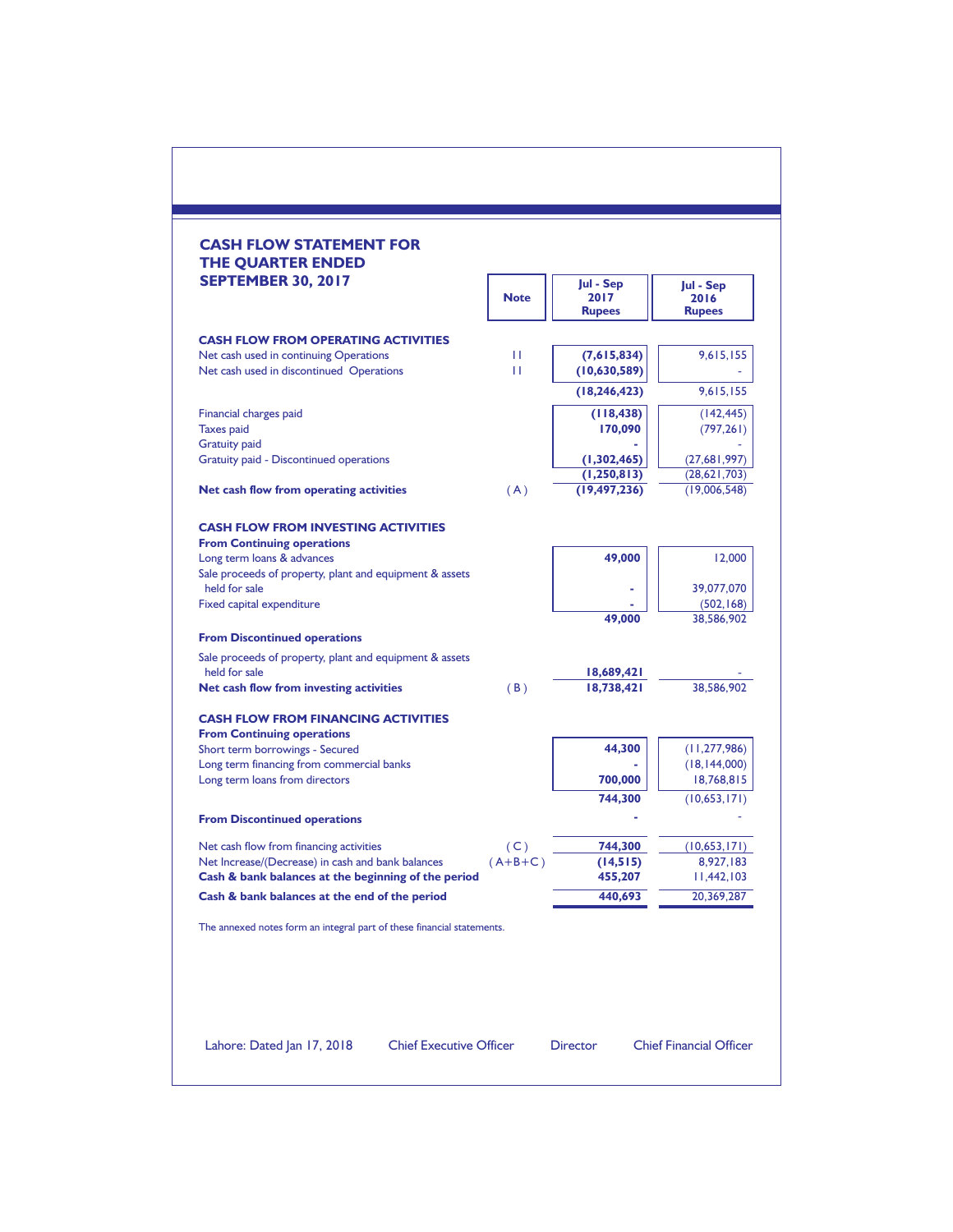| <b>CASH FLOW FROM OPERATING ACTIVITIES</b><br>Net cash used in continuing Operations<br>Net cash used in discontinued Operations<br>Financial charges paid<br><b>Taxes paid</b><br><b>Gratuity paid</b><br>Gratuity paid - Discontinued operations<br>Net cash flow from operating activities<br><b>CASH FLOW FROM INVESTING ACTIVITIES</b> | П<br>П<br>(A) | (7,615,834)<br>(10,630,589)<br>(18, 246, 423)<br>(118, 438)<br>170,090 | 9,615,155<br>9,615,155<br>(142, 445) |
|---------------------------------------------------------------------------------------------------------------------------------------------------------------------------------------------------------------------------------------------------------------------------------------------------------------------------------------------|---------------|------------------------------------------------------------------------|--------------------------------------|
|                                                                                                                                                                                                                                                                                                                                             |               |                                                                        |                                      |
|                                                                                                                                                                                                                                                                                                                                             |               |                                                                        |                                      |
|                                                                                                                                                                                                                                                                                                                                             |               |                                                                        |                                      |
|                                                                                                                                                                                                                                                                                                                                             |               |                                                                        |                                      |
|                                                                                                                                                                                                                                                                                                                                             |               |                                                                        |                                      |
|                                                                                                                                                                                                                                                                                                                                             |               |                                                                        | (797, 261)                           |
|                                                                                                                                                                                                                                                                                                                                             |               |                                                                        | (27,681,997)                         |
|                                                                                                                                                                                                                                                                                                                                             |               | (1,302,465)<br>(1, 250, 813)                                           | (28,621,703)                         |
|                                                                                                                                                                                                                                                                                                                                             |               | (19, 497, 236)                                                         | (19,006,548)                         |
| <b>From Continuing operations</b><br>Long term loans & advances<br>Sale proceeds of property, plant and equipment & assets                                                                                                                                                                                                                  |               | 49,000                                                                 | 12,000                               |
| held for sale                                                                                                                                                                                                                                                                                                                               |               |                                                                        | 39,077,070                           |
| Fixed capital expenditure                                                                                                                                                                                                                                                                                                                   |               | 49,000                                                                 | (502, 168)                           |
|                                                                                                                                                                                                                                                                                                                                             |               |                                                                        | 38,586,902                           |
| <b>From Discontinued operations</b>                                                                                                                                                                                                                                                                                                         |               |                                                                        |                                      |
| Sale proceeds of property, plant and equipment & assets<br>held for sale                                                                                                                                                                                                                                                                    |               | 18,689,421                                                             |                                      |
| Net cash flow from investing activities                                                                                                                                                                                                                                                                                                     | (B)           | 18,738,421                                                             | 38,586,902                           |
|                                                                                                                                                                                                                                                                                                                                             |               |                                                                        |                                      |
| <b>CASH FLOW FROM FINANCING ACTIVITIES</b>                                                                                                                                                                                                                                                                                                  |               |                                                                        |                                      |
| <b>From Continuing operations</b><br>Short term borrowings - Secured                                                                                                                                                                                                                                                                        |               | 44,300                                                                 | (11, 277, 986)                       |
| Long term financing from commercial banks                                                                                                                                                                                                                                                                                                   |               |                                                                        | (18, 144, 000)                       |
| Long term loans from directors                                                                                                                                                                                                                                                                                                              |               | 700,000                                                                | 18,768,815                           |
|                                                                                                                                                                                                                                                                                                                                             |               | 744,300                                                                | (10,653,171)                         |
| <b>From Discontinued operations</b>                                                                                                                                                                                                                                                                                                         |               |                                                                        |                                      |
| Net cash flow from financing activities                                                                                                                                                                                                                                                                                                     | (C)           | 744,300                                                                | (10, 653, 171)                       |
| Net Increase/(Decrease) in cash and bank balances                                                                                                                                                                                                                                                                                           | $(A+B+C)$     | (14, 515)                                                              | 8,927,183                            |
| Cash & bank balances at the beginning of the period                                                                                                                                                                                                                                                                                         |               | 455,207                                                                | 11,442,103                           |
| Cash & bank balances at the end of the period                                                                                                                                                                                                                                                                                               |               | 440,693                                                                | 20,369,287                           |
|                                                                                                                                                                                                                                                                                                                                             |               |                                                                        |                                      |
| The annexed notes form an integral part of these financial statements.                                                                                                                                                                                                                                                                      |               |                                                                        |                                      |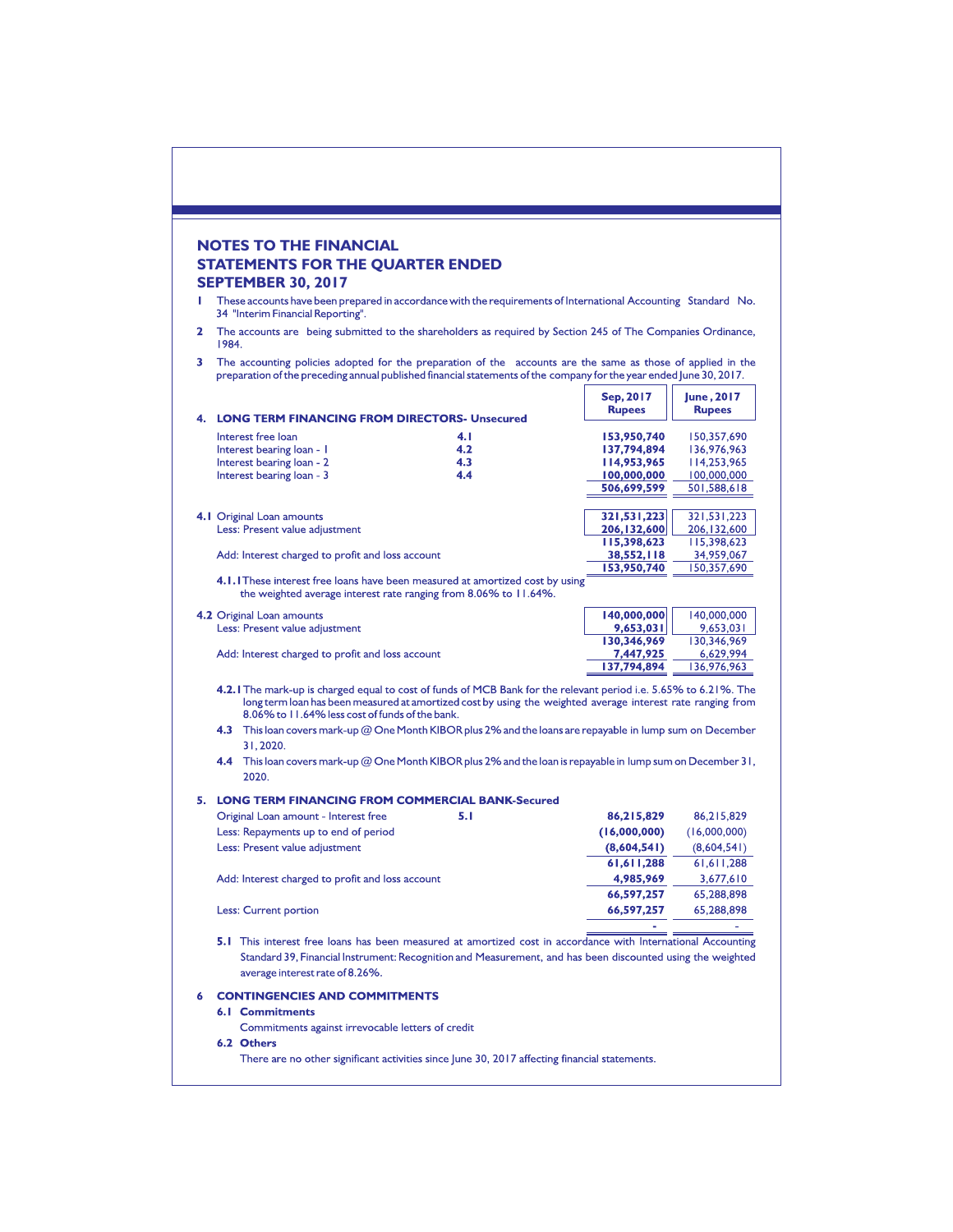## **STATEMENTS FOR THE QUARTER ENDED SEPTEMBER 30, 2017 NOTES TO THE FINANCIAL**

- $\mathbf{I}$ These accounts have been prepared in accordance with the requirements of International Accounting Standard No. 34 "Interim Financial Reporting".
- $\overline{2}$ The accounts are being submitted to the shareholders as required by Section 245 of The Companies Ordinance, 1984.

3 The accounting policies adopted for the preparation of the accounts are the same as those of applied in the preparation of the preceding annual published financial statements of the company for the year ended June 30, 2017.

| 4. | <b>LONG TERM FINANCING FROM DIRECTORS- Unsecured</b>                                                                                              |      | Sep, 2017<br><b>Rupees</b> | June, 2017<br><b>Rupees</b> |
|----|---------------------------------------------------------------------------------------------------------------------------------------------------|------|----------------------------|-----------------------------|
|    | Interest free loan                                                                                                                                | 4. I | 153,950,740                | 150,357,690                 |
|    | Interest bearing loan - I                                                                                                                         | 4.2  | 137,794,894                | 136,976,963                 |
|    | Interest bearing loan - 2                                                                                                                         | 4.3  | 114,953,965                | 114,253,965                 |
|    | Interest bearing loan - 3                                                                                                                         | 4.4  | 100,000,000                | 100,000,000                 |
|    |                                                                                                                                                   |      | 506,699,599                | 501,588,618                 |
|    |                                                                                                                                                   |      |                            |                             |
|    | 4.1 Original Loan amounts                                                                                                                         |      | 321,531,223                | 321, 531, 223               |
|    | Less: Present value adjustment                                                                                                                    |      | 206,132,600                | 206, 132, 600               |
|    |                                                                                                                                                   |      | 115,398,623                | 115,398,623                 |
|    | Add: Interest charged to profit and loss account                                                                                                  |      | 38,552,118                 | 34,959,067                  |
|    |                                                                                                                                                   |      | 153,950,740                | 150,357,690                 |
|    | 4.1.1 These interest free loans have been measured at amortized cost by using<br>the weighted average interest rate ranging from 8.06% to 11.64%. |      |                            |                             |
|    | 4.2 Original Loan amounts                                                                                                                         |      | 140,000,000                | 140,000,000                 |
|    | Less: Present value adjustment                                                                                                                    |      | 9,653,031                  | 9,653,031                   |
|    |                                                                                                                                                   |      | 130,346,969                | 130,346,969                 |
|    | Add: Interest charged to profit and loss account                                                                                                  |      | 7,447,925                  | 6,629,994                   |
|    |                                                                                                                                                   |      | 137.794.894                | 136.976.963                 |

- 4.2.1 The mark-up is charged equal to cost of funds of MCB Bank for the relevant period i.e. 5.65% to 6.21%. The long term loan has been measured at amortized cost by using the weighted average interest rate ranging from 8.06% to 11.64% less cost of funds of the bank.
- 4.3 This loan covers mark-up @ One Month KIBOR plus 2% and the loans are repayable in lump sum on December 31, 2020.
- 4.4 This loan covers mark-up @ One Month KIBOR plus 2% and the loan is repayable in lump sum on December 31, 2020

#### 5. LONG TERM FINANCING FROM COMMERCIAL BANK-Secured

| Original Loan amount - Interest free             | 5. I | 86,215,829   | 86,215,829   |
|--------------------------------------------------|------|--------------|--------------|
| Less: Repayments up to end of period             |      | (16,000,000) | (16,000,000) |
| Less: Present value adjustment                   |      | (8,604,541)  | (8,604,541)  |
|                                                  |      | 61,611,288   | 61,611,288   |
| Add: Interest charged to profit and loss account |      | 4,985,969    | 3,677,610    |
|                                                  |      | 66,597,257   | 65,288,898   |
| Less: Current portion                            |      | 66,597,257   | 65,288,898   |
|                                                  |      |              |              |

5.1 This interest free loans has been measured at amortized cost in accordance with International Accounting Standard 39, Financial Instrument: Recognition and Measurement, and has been discounted using the weighted average interest rate of 8.26%.

#### **6 CONTINGENCIES AND COMMITMENTS**

#### **6.1 Commitments**

Commitments against irrevocable letters of credit

### 6.2 Others

There are no other significant activities since June 30, 2017 affecting financial statements.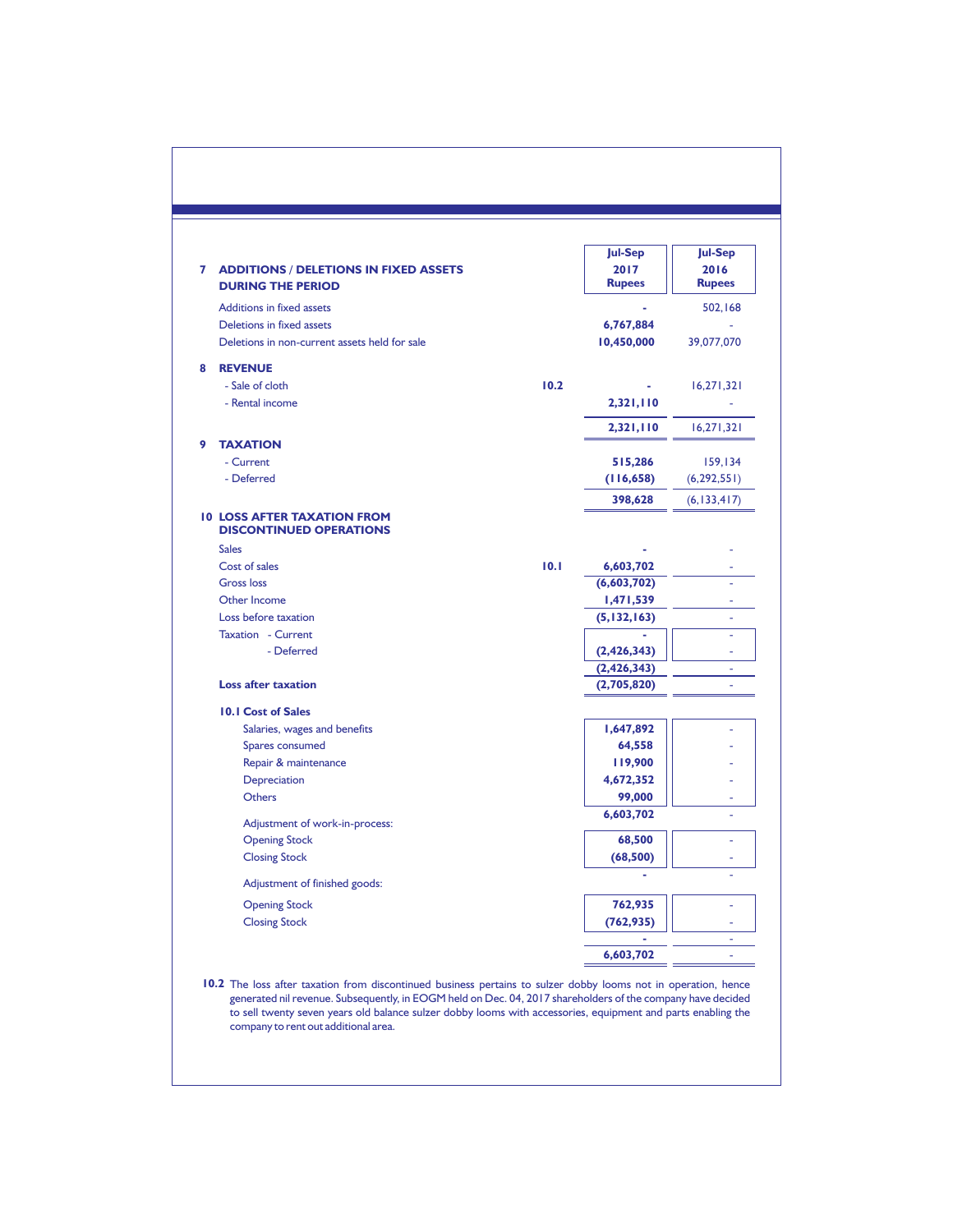|   | 7 ADDITIONS / DELETIONS IN FIXED ASSETS<br><b>DURING THE PERIOD</b>  |      | <b>Jul-Sep</b><br>2017<br><b>Rupees</b> | <b>Jul-Sep</b><br>2016<br><b>Rupees</b> |
|---|----------------------------------------------------------------------|------|-----------------------------------------|-----------------------------------------|
|   | Additions in fixed assets                                            |      |                                         | 502,168                                 |
|   | Deletions in fixed assets                                            |      | 6,767,884                               |                                         |
|   | Deletions in non-current assets held for sale                        |      | 10,450,000                              | 39,077,070                              |
| 8 | <b>REVENUE</b>                                                       |      |                                         |                                         |
|   | - Sale of cloth                                                      | 10.2 |                                         | 16,271,321                              |
|   | - Rental income                                                      |      | 2,321,110                               |                                         |
|   |                                                                      |      | 2,321,110                               | 16,271,321                              |
| 9 | <b>TAXATION</b>                                                      |      |                                         |                                         |
|   | - Current                                                            |      | 515,286                                 | 159,134                                 |
|   | - Deferred                                                           |      | (116, 658)                              | (6, 292, 551)                           |
|   |                                                                      |      | 398,628                                 | (6, 133, 417)                           |
|   | <b>10 LOSS AFTER TAXATION FROM</b><br><b>DISCONTINUED OPERATIONS</b> |      |                                         |                                         |
|   | <b>Sales</b>                                                         |      |                                         |                                         |
|   | Cost of sales                                                        | 10.1 | 6,603,702                               |                                         |
|   | <b>Gross loss</b>                                                    |      | (6,603,702)                             |                                         |
|   | Other Income                                                         |      | 1,471,539                               | $\overline{\phantom{0}}$                |
|   | Loss before taxation<br><b>Taxation - Current</b>                    |      | (5, 132, 163)                           | ä,                                      |
|   | - Deferred                                                           |      | (2, 426, 343)                           | $\overline{\phantom{a}}$                |
|   |                                                                      |      | (2, 426, 343)                           | $\blacksquare$                          |
|   | <b>Loss after taxation</b>                                           |      | (2,705,820)                             | ä,                                      |
|   | <b>10.1 Cost of Sales</b>                                            |      |                                         |                                         |
|   | Salaries, wages and benefits                                         |      | 1,647,892                               |                                         |
|   | Spares consumed                                                      |      | 64,558                                  |                                         |
|   | Repair & maintenance                                                 |      | 119,900                                 |                                         |
|   | Depreciation                                                         |      | 4,672,352                               |                                         |
|   | <b>Others</b>                                                        |      | 99,000                                  | $\overline{a}$                          |
|   | Adjustment of work-in-process:                                       |      | 6,603,702                               |                                         |
|   | <b>Opening Stock</b>                                                 |      | 68,500                                  |                                         |
|   | <b>Closing Stock</b>                                                 |      | (68, 500)                               | $\overline{\phantom{0}}$                |
|   | Adjustment of finished goods:                                        |      |                                         | L.                                      |
|   | <b>Opening Stock</b>                                                 |      | 762,935                                 |                                         |
|   | <b>Closing Stock</b>                                                 |      | (762, 935)                              |                                         |
|   |                                                                      |      |                                         | $\overline{a}$                          |
|   |                                                                      |      | 6,603,702                               | ÷,                                      |

generated nil revenue. Subsequently, in EOGM held on Dec. 04, 2017 shareholders of the company have decided to sell twenty seven years old balance sulzer dobby looms with accessories, equipment and parts enabling the company to rent out additional area.